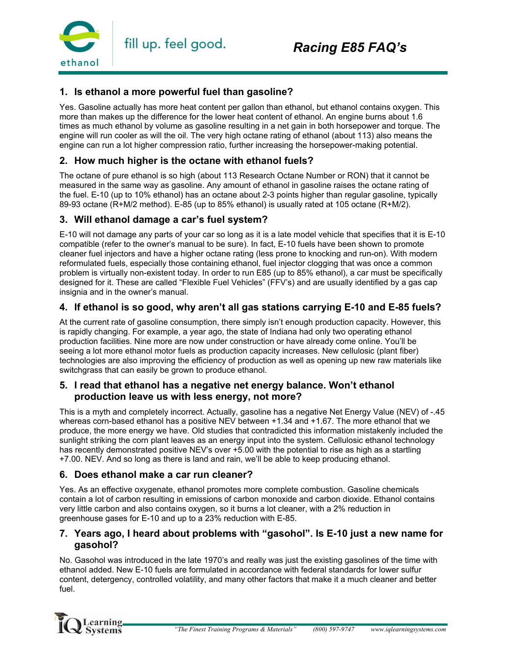

## **1. Is ethanol a more powerful fuel than gasoline?**

Yes. Gasoline actually has more heat content per gallon than ethanol, but ethanol contains oxygen. This more than makes up the difference for the lower heat content of ethanol. An engine burns about 1.6 times as much ethanol by volume as gasoline resulting in a net gain in both horsepower and torque. The engine will run cooler as will the oil. The very high octane rating of ethanol (about 113) also means the engine can run a lot higher compression ratio, further increasing the horsepower-making potential.

#### **2. How much higher is the octane with ethanol fuels?**

The octane of pure ethanol is so high (about 113 Research Octane Number or RON) that it cannot be measured in the same way as gasoline. Any amount of ethanol in gasoline raises the octane rating of the fuel. E-10 (up to 10% ethanol) has an octane about 2-3 points higher than regular gasoline, typically 89-93 octane (R+M/2 method). E-85 (up to 85% ethanol) is usually rated at 105 octane (R+M/2).

#### **3. Will ethanol damage a car's fuel system?**

E-10 will not damage any parts of your car so long as it is a late model vehicle that specifies that it is E-10 compatible (refer to the owner's manual to be sure). In fact, E-10 fuels have been shown to promote cleaner fuel injectors and have a higher octane rating (less prone to knocking and run-on). With modern reformulated fuels, especially those containing ethanol, fuel injector clogging that was once a common problem is virtually non-existent today. In order to run E85 (up to 85% ethanol), a car must be specifically designed for it. These are called "Flexible Fuel Vehicles" (FFV's) and are usually identified by a gas cap insignia and in the owner's manual.

## **4. If ethanol is so good, why aren't all gas stations carrying E-10 and E-85 fuels?**

At the current rate of gasoline consumption, there simply isn't enough production capacity. However, this is rapidly changing. For example, a year ago, the state of Indiana had only two operating ethanol production facilities. Nine more are now under construction or have already come online. You'll be seeing a lot more ethanol motor fuels as production capacity increases. New cellulosic (plant fiber) technologies are also improving the efficiency of production as well as opening up new raw materials like switchgrass that can easily be grown to produce ethanol.

#### **5. I read that ethanol has a negative net energy balance. Won't ethanol production leave us with less energy, not more?**

This is a myth and completely incorrect. Actually, gasoline has a negative Net Energy Value (NEV) of -.45 whereas corn-based ethanol has a positive NEV between +1.34 and +1.67. The more ethanol that we produce, the more energy we have. Old studies that contradicted this information mistakenly included the sunlight striking the corn plant leaves as an energy input into the system. Cellulosic ethanol technology has recently demonstrated positive NEV's over +5.00 with the potential to rise as high as a startling +7.00. NEV. And so long as there is land and rain, we'll be able to keep producing ethanol.

#### **6. Does ethanol make a car run cleaner?**

Yes. As an effective oxygenate, ethanol promotes more complete combustion. Gasoline chemicals contain a lot of carbon resulting in emissions of carbon monoxide and carbon dioxide. Ethanol contains very little carbon and also contains oxygen, so it burns a lot cleaner, with a 2% reduction in greenhouse gases for E-10 and up to a 23% reduction with E-85.

## **7. Years ago, I heard about problems with "gasohol". Is E-10 just a new name for gasohol?**

No. Gasohol was introduced in the late 1970's and really was just the existing gasolines of the time with ethanol added. New E-10 fuels are formulated in accordance with federal standards for lower sulfur content, detergency, controlled volatility, and many other factors that make it a much cleaner and better fuel.